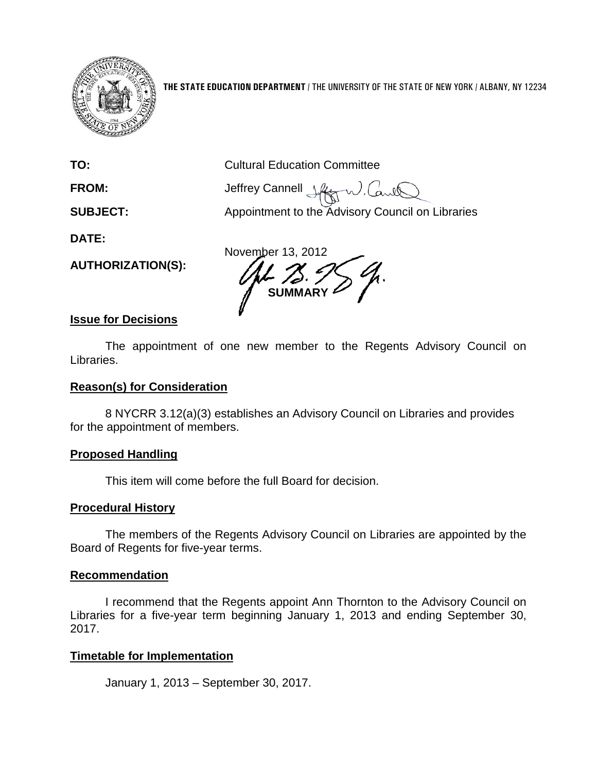

**THE STATE EDUCATION DEPARTMENT** / THE UNIVERSITY OF THE STATE OF NEW YORK / ALBANY, NY 12234

**TO:** Cultural Education Committee

**FROM:** Jeffrey Cannell  $\downarrow \downarrow \downarrow \downarrow \downarrow$ W. Caril

**SUBJECT:** Appointment to the Advisory Council on Libraries

**DATE:**

**AUTHORIZATION(S):**

November 13, 2012 **SUMMARY**

#### **Issue for Decisions**

The appointment of one new member to the Regents Advisory Council on Libraries.

#### **Reason(s) for Consideration**

8 NYCRR 3.12(a)(3) establishes an Advisory Council on Libraries and provides for the appointment of members.

# **Proposed Handling**

This item will come before the full Board for decision.

# **Procedural History**

The members of the Regents Advisory Council on Libraries are appointed by the Board of Regents for five-year terms.

# **Recommendation**

I recommend that the Regents appoint Ann Thornton to the Advisory Council on Libraries for a five-year term beginning January 1, 2013 and ending September 30, 2017.

# **Timetable for Implementation**

January 1, 2013 – September 30, 2017.